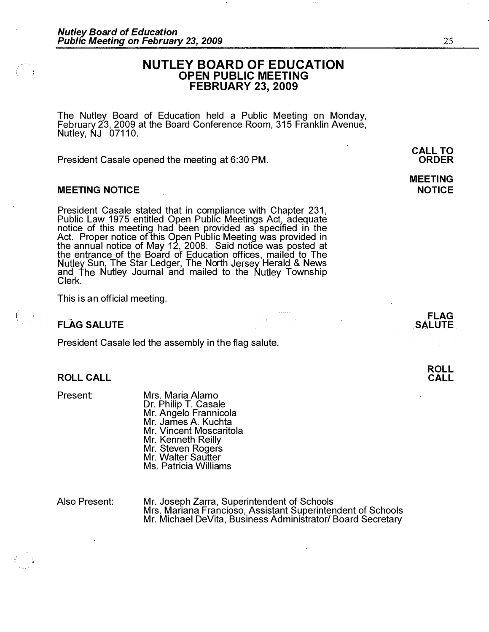# NUTLEY BOARD OF EDUCATION OPEN PUBLIC MEETING FEBRUARY 23, 2009

The Nutley- Board of Education held a Public Meeting on Monday, 23, 2009 at the Board Conference Room, 315 Franklin Avenue, Nutley, NJ 07110.

President Casale opened the meeting at 6:30 PM.

# MEETING NOTICE

President Casale stated that in compliance with Chapter 231, Public Law 1975 entitled Open Public Meetings Act, adequate notice of this meeting had been provided as specified in the Act. Proper notice of this Open Public Meeting was provided in the annual notice of May 12, 2008. Said notice was posted at the entrance of the Board of Education offices, mailed to The Sun, The Star Ledger, The North Jersey Herald & News and The Nutley Journal and mailed to the Nutley Township Clerk.

This is an official meeting.

# FLAG SALUTE

President Casale led the assembly in the flag salute.

# ROLL CALL

Present:

Mrs. Maria Alamo Dr. Philip T. Casale Mr. Angelo Frannicola Mr. James A. Kuchta Mr. Vincent Moscaritola Mr. Kenneth Reilly Mr. Steven Rogers Mr. Walter Sautter Ms. Patricia Williams

Also Present: Mr. Joseph Zarra, Superintendent of Schools Mrs. Mariana Francioso, Assistant Superintendent of Schools Mr. Michael DeVita, Business Administrator/ Board Secretary

ORDER

CALL TO

25

MEETING NOTICE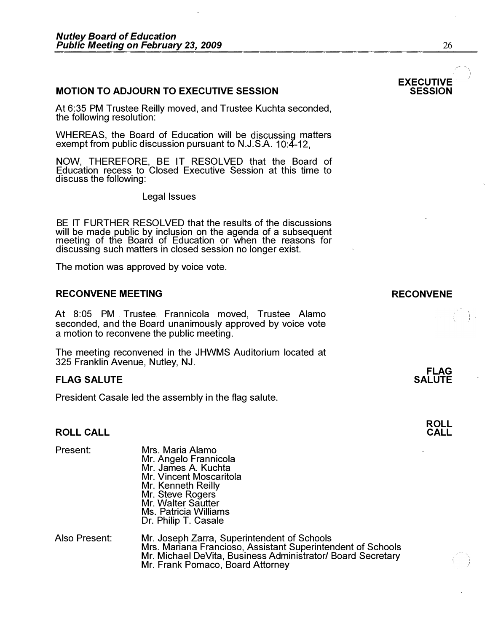# **MOTION TO ADJOURN TO EXECUTIVE SESSION**

At 6:35 PM Trustee Reilly moved, and Trustee Kuchta seconded, the following resolution:

WHEREAS, the Board of Education will be discussing matters exempt from public discussion pursuant to N.J.S.A. 10:4-12,

NOW, THEREFORE, BE IT RESOLVED that the Board of Education recess to Closed Executive Session at this time to discuss the following:

Legal Issues

BE IT FURTHER RESOLVED that the results of the discussions will be made public by inclusion on the agenda of a subsequent meeting of the Boara of Education or when the reasons for discussing such matters in closed session no longer exist.

The motion was approved by voice vote.

# RECONVENE MEETING **RECONVENE**

At 8:05 PM Trustee . Frannicola moved, Trustee Alamo seconded, and the Board unanimously approved by voice vote a motion to reconvene the public meeting.

The meeting reconvened in the JHWMS Auditorium located at 325 Franklin Avenue, Nutley, NJ.

# **FLAG SALUTE**

President Casale led the assembly in the flag salute.

# ROLL CALL

| Present:      | Mrs. Maria Alamo<br>Mr. Angelo Frannicola<br>Mr. James A. Kuchta<br>Mr. Vincent Moscaritola<br>Mr. Kenneth Reilly<br>Mr. Steve Rogers<br>Mr. Walter Sautter<br>Ms. Patricia Williams<br>Dr. Philip T. Casale  |
|---------------|---------------------------------------------------------------------------------------------------------------------------------------------------------------------------------------------------------------|
| Also Present: | Mr. Joseph Zarra, Superintendent of Schools<br>Mrs. Mariana Francioso, Assistant Superintendent of Schools<br>Mr. Michael DeVita, Business Administrator/ Board Secretary<br>Mr. Frank Pomaco, Board Attorney |



# EXECUTIVE<br>SESSION

FLAG **SALUTE**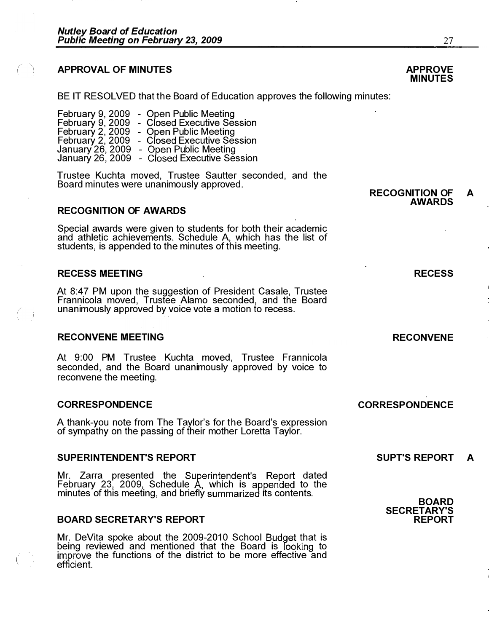# **APPROVAL OF MINUTES**

 $(\Box)$ 

. *I* '

BE IT RESOLVED that the Board of Education approves the following minutes:

|                  | February 9, 2009 - Open Public Meeting                                                |
|------------------|---------------------------------------------------------------------------------------|
| February 9, 2009 | - Closed Executive Session                                                            |
| February 2, 2009 | - Open Public Meeting                                                                 |
| February 2, 2009 | - Closed Executive Session                                                            |
|                  | January 26, 2009 - Open Public Meeting<br>January 26, 2009 - Closed Executive Session |
|                  |                                                                                       |

Trustee Kuchta moved, Trustee Sautter seconded, and the Board minutes were unanimously approved.

# **RECOGNITION OF AWARDS**

Special awards were given to students for both their academic and athletic achievements. Schedule A, which has the list of students, is appended to the minutes of this meeting.

# RECESS MEETING

At 8:47 PM upon the suggestion of President Casale, Trustee Frannicola moved, Trustee Alamo seconded, and the Board unanimously approved by voice vote a motion to recess.

#### RECONVENE MEETING

At 9:00 PM Trustee Kuchta moved, Trustee Frannicola seconded, and the Board unanimously approved by voice to reconvene the meeting.

# CORRESPONDENCE

A thank-you note from The Taylor's for the Board's expression of sympathy on the passing of their mother Loretta Taylor.

# SUPERINTENDENT'S REPORT

Mr. Zarra presented the Superintendent's Report dated February 23, 2009, Schedule A, which is appended to the minutes of this meeting, and briefly summarized its contents.

# BOARD SECRETARY'S REPORT

Mr. DeVita spoke about the 2009-2010 School Budget that is being reviewed and mentioned that the Board is looking to improve the functions of the district to be more effective and efficient.

**CORRESPONDENCE** 

# SUPT'S REPORT A



REPORT

SECRETARY'S



RECONVENE

RECOGNITION OF A AWARDS

**MINUTES** 

27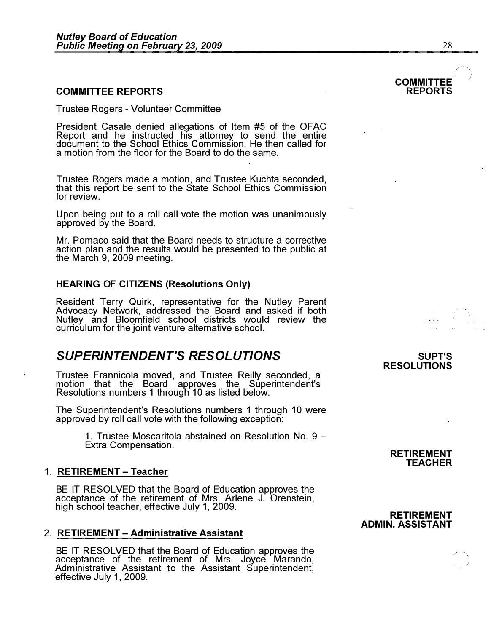# COMMITTEE REPORTS

Trustee Rogers - Volunteer Committee

President Casale denied allegations of Item #5 of the OFAC Report and he instructed his attorney to send the entire document to the School Ethics Commission. He then called for a motion from the floor for the Board to do the same.

Trustee Rogers made a motion, and Trustee Kuchta seconded, that this report be sent to the State School Ethics Commission for review.

Upon being put to a roll call vote the motion was unanimously approved by the Board.

Mr. Pomaco said that the Board needs to structure a corrective action plan and the results would be presented to the public at the March 9, 2009 meeting.

# HEARING OF CITIZENS (Resolutions Only)

Resident Terry Quirk, representative for the Nutley Parent Advocacy Network, addressed the Board and asked if both Nutley and Bloomfield school districts would review the curriculum for the joint venture alternative school.

# SUPERINTENDENT'S RESOLUTIONS

Trustee Frannicola moved, and Trustee Reilly seconded, a motion that the Board approves the Superintendent's Resolutions numbers 1 through 10 as listed below.

The Superintendent's Resolutions numbers 1 through 10 were approved by roll call vote with the following exception:

> 1. Trustee Moscaritola abstained on Resolution No. 9 -Extra Compensation.

#### 1. RETIREMENT - Teacher

BE IT RESOLVED that the Board of Education approves the acceptance of the retirement of Mrs. Arlene J. Orenstein, high school teacher, effective July 1, 2009.

#### 2. RETIREMENT - Administrative Assistant

BE IT RESOLVED that the Board of Education approves the acceptance of the retirement of Mrs. Joyce Marando, Administrative Assistant to the Assistant Superintendent, effective July 1, 2009.

# RESOLUTIONS

SUPT'S

# RETIREMENT TEACHER

# RETIREMENT ADMIN. ASSISTANT

**COMMITTEE** REPORTS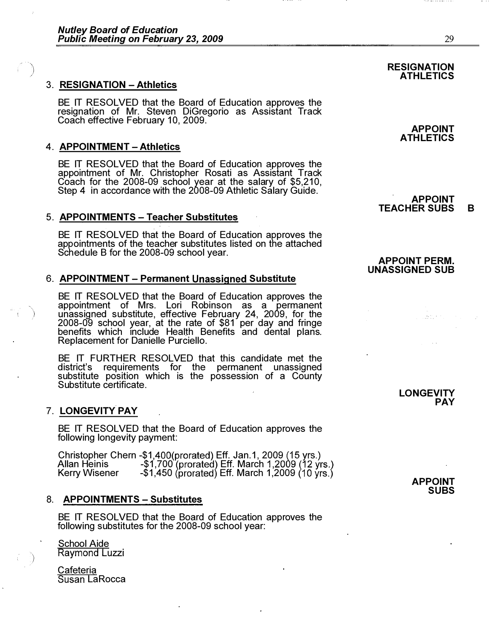# $\qquad \qquad$ 3. RESIGNATION - Athletics

BE IT RESOLVED that the Board of Education approves the resignation of Mr. Steven DiGregorio as Assistant Track Coach effective February 10, 2009.

# 4. APPOINTMENT - Athletics

BE IT RESOLVED that the Board of Education approves the appointment of Mr. Christopher Rosati as Assistant Track Coach for the 2008-09 school year at the salary of \$5,210, Step 4 in accordance with the 2008-09 Athletic Salary Guide.

# 5. APPOINTMENTS - Teacher Substitutes

BE IT RESOLVED that the Board of Education approves the appointments of the teacher substitutes listed on the attached<br>Schedule B for the 2008-09 school year.

# 6. APPOINTMENT - Permanent Unassigned Substitute

BE IT RESOLVED that the Board of Education approves the appointment of Mrs. Lori Robinson as a permanent<br>unassigned substitute, effective February 24, 2009, for the 2008-09 school year, at the rate of \$81 per day and fringe benefits which Include Health Benefits and dental plans. Replacement for Danielle Purciello.

BE IT FURTHER RESOLVED that this candidate met the district's requirements for the permanent unassigned substitute position which is the possession of a County Substitute certificate.

# 7. LONGEVITY PAY

"'\

)

BE IT RESOLVED that the Board of Education approves the following longevity payment:

Christopher Chern -\$1,400(prorated) Eff. Jan.1, 2009 Allan Heinis -\$1,700 (prorated) Eff. March Kerry Wisener -\$1,450 (prorated) Eff. March 1,2009

# 8. APPOINTMENTS - Substitutes

BE IT RESOLVED that the Board of Education approves the following substitutes for the 2008-09 school year:

# School Aide Raymond Luzzi

Cafeteria Susan LaRocca

### **RESIGNATION** ATHLETICS

APPOINT ATHLETICS

#### APPOINT TEACHER SUBS B

# **APPOINT PERM.** UNASSIGNED SUB

LONGEVITY PAY

us tur

APPOINT SUBS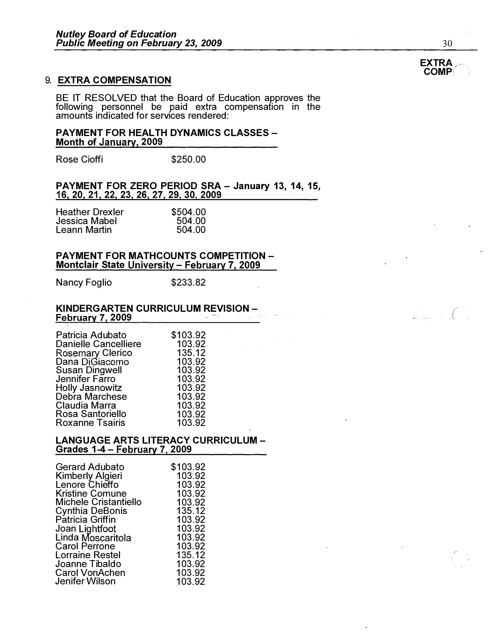# 9. EXTRA COMPENSATION

BE IT RESOLVED that the Board of Education approves the following personnel be paid extra compensation in the amounts indicated for services rendered:

# PAYMENT FOR HEALTH DYNAMICS CLASSES-Month of January, 2009

Rose Cioffi **\$250.00** 

PAYMENT FOR ZERO PERIOD SRA - January 13, 14, 15,<br>16, 20, 21, 22, 23, 26, 27, 29, 30, 2009

| \$504.00 |
|----------|
| 504.00   |
| 504.00   |
|          |

# PAYMENT FOR MATHCOUNTS COMPETITION-Montclair State University - February 7, 2009

Nancy Foglio \$233.82

#### KINDERGARTEN CURRICULUM REVISION - **February 7, 2009**

| Patricia Adubato<br><b>Danielle Cancelliere</b><br>Rosemary Clerico<br>Dana DiGiacomo | \$103.92<br>103.92<br>135.12<br>103.92 |
|---------------------------------------------------------------------------------------|----------------------------------------|
| <b>Susan Dingwell</b>                                                                 | 103.92                                 |
| Jennifer Farro                                                                        | 103.92                                 |
| <b>Holly Jasnowitz</b>                                                                | 103.92                                 |
| Debra Marchese                                                                        | 103.92                                 |
| Claudia Marra                                                                         | 103.92                                 |
| Rosa Santoriello                                                                      | 103.92                                 |
| <b>Roxanne Tsairis</b>                                                                | 103.92                                 |
|                                                                                       |                                        |

# LANGUAGE ARTS LITERACY CURRICULUM -Grades 1-4 - February 7, 2009

| Gerard Adubato          | \$103.92 |
|-------------------------|----------|
| <b>Kimberly Algieri</b> | 103.92   |
| Lenore Chieffo          | 103.92   |
| <b>Kristine Comune</b>  | 103.92   |
| Michele Cristantiello   | 103.92   |
| <b>Cynthia DeBonis</b>  | 135.12   |
| Patricia Griffin        | 103.92   |
| Joan Lightfoot          | 103.92   |
| Linda Moscaritola       | 103.92   |
| <b>Carol Perrone</b>    | 103.92   |
| <b>Lorraine Restel</b>  | 135.12   |
| Joanne Tibaldo          | 103.92   |
| <b>Carol VonAchen</b>   | 103.92   |
| Jenifer Wilson          | 103.92   |



30

)



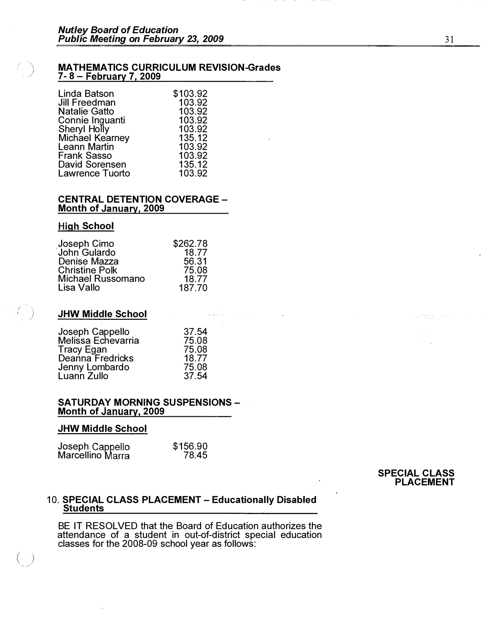### MATHEMATICS CURRICULUM REVISION-Grades 7- 8 – February 7, 2009

| Linda Batson           | \$103.92 |
|------------------------|----------|
| <b>Jill Freedman</b>   | 103.92   |
| <b>Natalie Gatto</b>   | 103.92   |
| Connie Inguanti        | 103.92   |
| Sheryl Holly           | 103.92   |
| Michael Kearney        | 135.12   |
| <b>Leann Martin</b>    | 103.92   |
| <b>Frank Sasso</b>     | 103.92   |
| David Sorensen         | 135.12   |
| <b>Lawrence Tuorto</b> | 103.92   |
|                        |          |

### CENTRAL DETENTION COVERAGE -Month of January, 2009

# **High School**

 $\left(\frac{1}{2}\right)$ 

.. )

| Joseph Cimo<br>John Gulardo | \$262.78 |
|-----------------------------|----------|
|                             | 18.77    |
| Denise Mazza                | 56.31    |
| <b>Christine Polk</b>       | 75.08    |
| <b>Michael Russomano</b>    | 18.77    |
| Lisa Vallo                  | 187.70   |

# JHW Middle School

| Joseph Cappello    | 37.54 |
|--------------------|-------|
| Melissa Echevarria | 75.08 |
| Tracy Egan         | 75.08 |
| Deanna Fredricks   | 18.77 |
| Jenny Lombardo     | 75.08 |
| Luann Zullo        | 37.54 |

# SATURDAY MORNING SUSPENSIONS - **Month of January, 2009**

# JHW Middle School

| Joseph Cappello<br>Marcellino Marra | \$156.90 |
|-------------------------------------|----------|
|                                     | 78.45    |

#### SPECIAL CLASS PLACEMENT

a Pietre

# 10. SPECIAL CLASS PLACEMENT – Educationally Disabled <u>Students</u>

BE IT RESOLVED that the Board of Education authorizes the attendance of a student in out-of-district special education classes for the 2008-09 school year as follows:

المناولين المراد

31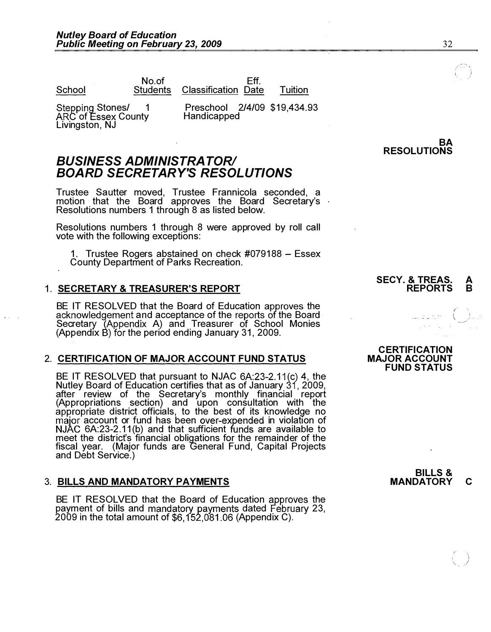No.of  $\overline{\phantom{a}}$  is a  $\overline{\phantom{a}}$  Eff.

School Students Classification Date Tuition

Stepping Stones/ 1 **ARC** of Essex County Livingston, NJ

Preschool 2/4/09 \$19,434.93 Handicapped

# **BUSINESS ADMINISTRATOR/** BOARD SECRETARY'S RESOLUTIONS

Trustee Sautter moved, Trustee Frannicola seconded, a motion that the Board approves the Board Secretary's Resolutions numbers 1 through 8 as listed below.

Resolutions numbers 1 through 8 were approved by roll call vote with the following exceptions:

1. Trustee Rogers abstained on check  $\#079188 - \text{Essex}$ County Department of Parks Recreation.

# 1. SECRETARY & TREASURER'S REPORT

BE IT RESOLVED that the Board of Education approves the acknowledgement and acceptance of the reports of the Board Secretary (Appendix A) and Treasurer of School Monies (Appendix B) for the period ending January 31, 2009.

# 2. CERTIFICATION OF MAJOR ACCOUNT FUND STATUS

BE IT RESOLVED that pursuant to NJAC  $6A:23-2.11(c)$  4, the Nutley Board of Education certifies that as of January 31, 2009, after review of the Secretary's monthly financial report (Appropriations section) and upon consultation with the district offiCials, to the best of its knowledge no account or fund has been over-expended in violation of  $6A:23-2.11(b)$  and that sufficient funds are available to meet the district's financial obligations for the remainder of the fiscal year. (Major funds are General Fund, Capital Projects and Debt Service.)

# 3. BILLS AND MANDATORY PAYMENTS

BE IT RESOLVED that the Board of Education approves the payment of bills and mandatory payments dated February 23, 2009 in the total amount of \$6,152,081.06 (Appendix C).

# RESOLUTIONS

### SECY. & TREAS. A<br>REPORTS B **REPORTS**

 $\mathbb{L}$ sing  $\Big(\begin{array}{c} \mathbb{I} \ \mathbb{I} \end{array} \Big)$ 

# **CERTIFICATION** MAJOR ACCOUNT **FUND STATUS**

**BILLS &** MANDATORY C

**BA**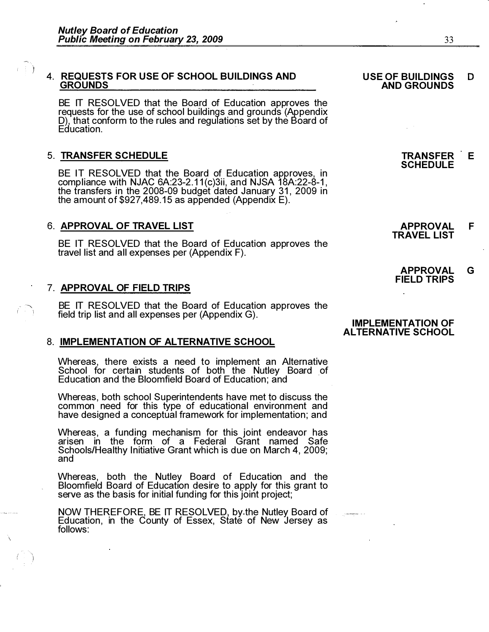$\mathcal{L} \subset \mathbb{R}^n$  $($   $)$ 

# 4. REQUESTS FOR USE OF SCHOOL BUILDINGS AND **GROUNDS**

BE IT RESOLVED that the Board of Education approves the requests for the use of school buildings and grounds (Appendix D), that conform to the rules and regulations set by the Board of<br>Education Education.

# 5. TRANSFER SCHEDULE

BE IT RESOLVED that the Board of Education approves, in compliance with NJAC 6A:23-2.11(c)3ii, and NJSA 18A:22-8-1,<br>the transfers in the 2008-09 budget dated January 31, 2009 in<br>the amount of \$927,489.15.as appended (Appendix E) the transfers in the 2008-09 budget dated January 31, 2009 in the amount of  $$927,489.15$  as appended (Appendix E).

# 6. APPROVAL OF TRAVEL LIST

BE IT RESOLVED that the Board of Education approves the travel list and all expenses per (Appendix F).

# 7. APPROVAL OF FIELD TRIPS

BE IT RESOLVED that the Board of Education approves the field trip list and all expenses per (Appendix G).

# 8. **IMPLEMENTATION OF ALTERNATIVE SCHOOL**

Whereas, there exists a need to implement an Alternative School for certain students of both the Nutley Board of Education and the Bloomfield Board of Education; and

Whereas, both school Superintendents have met to discuss the common need for this type of educational environment and have designed a conceptual framework for implementation; and

Whereas, a funding mechanism for this joint endeavor has arisen in the form of a Federal Grant named Safe Schools/Healthy Initiative Grant which is due on March 4, 2009; and

Whereas, both the Nutley Board of Education and the Bloomfield Board of Education desire to apply for this grant to serve as the basis for initial funding for this joint project;

NOW THEREFORE, BE IT RESOLVED; by the Nutley Board of Education, in the County of Essex, State of New Jersey as follows:

#### USE OF BUILDINGS AND GROUNDS D

TRANSFER E **SCHEDULE** 

APPROVAL TRAVEL LIST F

APPROVAL FIELD TRIPS G

### IMPLEMENTATION OF AL TERNATIVE SCHOOL

.----. � �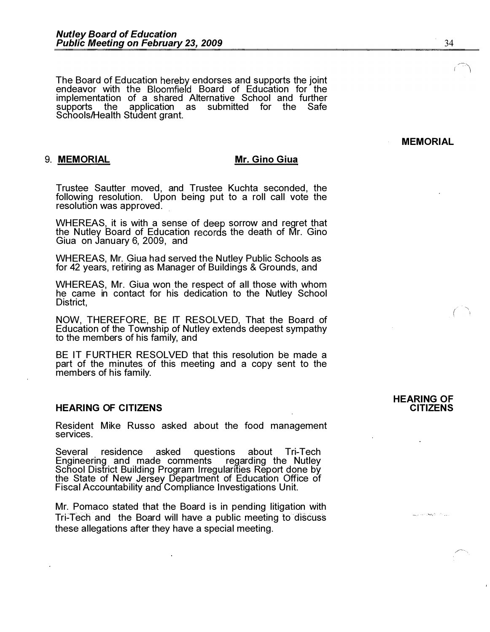The Board of Education hereby endorses and supports the joint endeavor with the Bloomfield Board of Education for the implementation of a shared Alternative School and further supports the application as submitted for the Safe Schools/Health Student grant.

# 9. MEMORIAL Mr. Gino Giua

Trustee Sautter moved, and Trustee Kuchta seconded, the following resolution. Upon being put to a roll call vote the resolution was approved.

WHEREAS, it is with a sense of deep sorrow and regret that the Nutley Board of Education records the death of Mr. Gino Giua on January 6, 2009, and

WHEREAS, Mr. Giua had served the Nutley Public Schools as for 42 years, retiring as Manager of Buildings & Grounds, and

WHEREAS, Mr. Giua won the respect of all those with whom he came in contact for his dedication to the Nutley School District,

NOW, THEREFORE, BE IT RESOLVED, That the Board of Education of the Township of Nutley extends deepest sympathy to the members of his family, and

BE IT FURTHER RESOLVED that this resolution be made a part of the minutes of this meeting and a copy sent to the members of his family.

# HEARING OF CITIZENS

Resident Mike Russo asked about the food management services.

Several residence asked questions about Tri-Tech Engineering and made comments regarding the Nutley School District Building Program Irregularities Report done by the State of New Jersey Department of Education Office of Fiscal Accountability and Compliance Investigations Unit.

Mr. Pomaco stated that the Board is in pending litigation with Tri-Tech and the Board will have a public meeting to discuss these allegations after they have a special meeting.

# HEARING OF **CITIZENS**

. , ' ... ", -

**MEMORIAL**